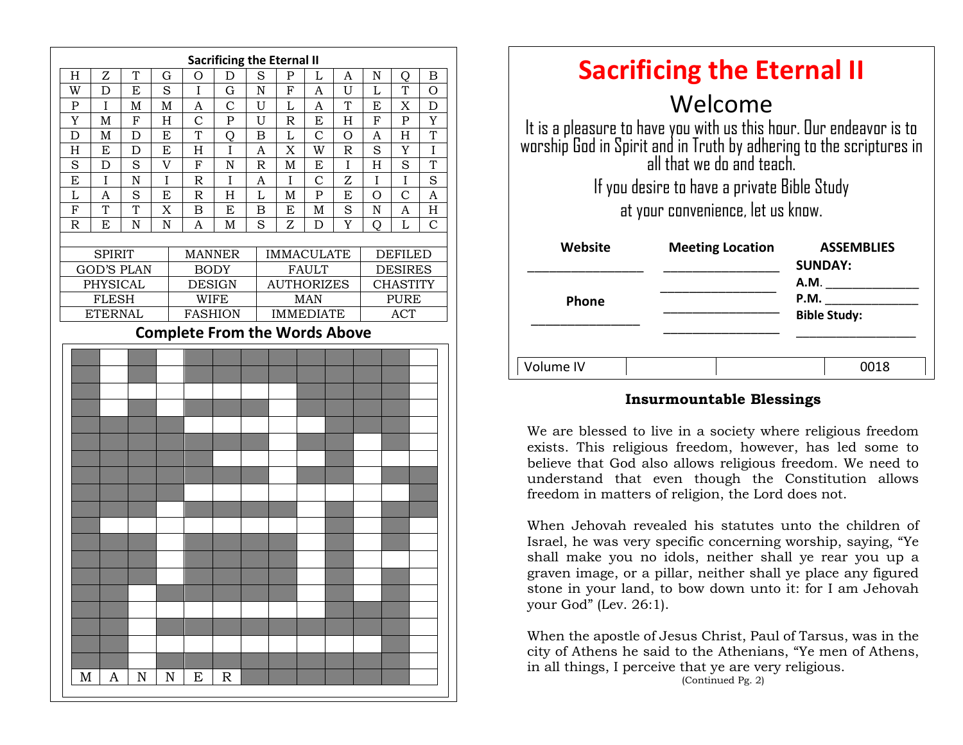| H<br>T<br>${\rm N}$<br>Z<br>D<br>S<br>P<br>B<br>G<br>O<br>L<br>A<br>Q<br>S<br>$\mathbf I$<br>$\rm N$<br>${\bf F}$<br>U<br>L<br>W<br>D<br>E<br>$\mathbf{A}$<br>T<br>G<br>O<br>$\overline{C}$<br>T<br>I<br>U<br>$\mathbf{L}$<br>E<br>D<br>${\bf P}$<br>M<br>$\mathbf M$<br>$\mathbf{A}$<br>$\mathbf{A}$<br>X<br>$\mathcal{C}$<br>Y<br>${\bf F}$<br>H<br>${\bf P}$<br>$\mathbf U$<br>H<br>F<br>Y<br>M<br>$\mathbb R$<br>E<br>$\mathbf P$<br>T<br>T<br>D<br>E<br>L<br>$\mathcal{C}$<br>M<br>D<br>B<br>O<br>$\mathbf{A}$<br>H<br>Q<br>S<br>E<br>E<br>X<br>W<br>$\overline{R}$<br>$\mathbf I$<br>H<br>$\mathbf D$<br>H<br>I<br>A<br>Y<br>$\overline{I}$<br>$\overline{H}$<br>$\rm S$<br>$\overline{V}$<br>N<br>$\mathbb R$<br>$\mathbf M$<br>S<br>T<br>S<br>F<br>D<br>E<br>S<br>I<br>$\overline{\rm N}$<br>I<br>$\overline{I}$<br>$\overline{I}$<br>I<br>E<br>A<br>$\rm I$<br>$\mathcal{C}$<br>Z<br>$\mathbb R$<br>S<br>A<br>L<br>$\mathsf R$<br>H<br>L<br>${\bf P}$<br>E<br>$\overline{O}$<br>$\mathsf{C}$<br>A<br>E<br>$\mathbf M$<br>T<br>$\overline{H}$<br>${\bf F}$<br>T<br>S<br>$\mathbf N$<br>X<br>B<br>E<br>B<br>E<br>$\mathbf M$<br>A<br>E<br>$\mathbf N$<br>N<br>S<br>Y<br>$\overline{C}$<br>$\mathbb R$<br>A<br>M<br>Z<br>L<br>D<br>Q<br><b>SPIRIT</b><br><b>DEFILED</b><br><b>MANNER</b><br><b>IMMACULATE</b><br><b>GOD'S PLAN</b><br><b>BODY</b><br><b>FAULT</b><br><b>DESIRES</b><br>PHYSICAL<br><b>AUTHORIZES</b><br><b>CHASTITY</b><br><b>DESIGN</b><br><b>FLESH</b><br><b>WIFE</b><br><b>MAN</b><br><b>PURE</b><br><b>IMMEDIATE</b><br><b>ETERNAL</b><br><b>FASHION</b><br>ACT<br><b>Complete From the Words Above</b><br>N<br>M<br>A<br>N<br>E<br>R |  |  |  | <b>Sacrificing the Eternal II</b> |  |  |  |  |  |  |  |  |
|-----------------------------------------------------------------------------------------------------------------------------------------------------------------------------------------------------------------------------------------------------------------------------------------------------------------------------------------------------------------------------------------------------------------------------------------------------------------------------------------------------------------------------------------------------------------------------------------------------------------------------------------------------------------------------------------------------------------------------------------------------------------------------------------------------------------------------------------------------------------------------------------------------------------------------------------------------------------------------------------------------------------------------------------------------------------------------------------------------------------------------------------------------------------------------------------------------------------------------------------------------------------------------------------------------------------------------------------------------------------------------------------------------------------------------------------------------------------------------------------------------------------------------------------------------------------------------------------------------------------------------------------------------------------|--|--|--|-----------------------------------|--|--|--|--|--|--|--|--|
|                                                                                                                                                                                                                                                                                                                                                                                                                                                                                                                                                                                                                                                                                                                                                                                                                                                                                                                                                                                                                                                                                                                                                                                                                                                                                                                                                                                                                                                                                                                                                                                                                                                                 |  |  |  |                                   |  |  |  |  |  |  |  |  |
|                                                                                                                                                                                                                                                                                                                                                                                                                                                                                                                                                                                                                                                                                                                                                                                                                                                                                                                                                                                                                                                                                                                                                                                                                                                                                                                                                                                                                                                                                                                                                                                                                                                                 |  |  |  |                                   |  |  |  |  |  |  |  |  |
|                                                                                                                                                                                                                                                                                                                                                                                                                                                                                                                                                                                                                                                                                                                                                                                                                                                                                                                                                                                                                                                                                                                                                                                                                                                                                                                                                                                                                                                                                                                                                                                                                                                                 |  |  |  |                                   |  |  |  |  |  |  |  |  |
|                                                                                                                                                                                                                                                                                                                                                                                                                                                                                                                                                                                                                                                                                                                                                                                                                                                                                                                                                                                                                                                                                                                                                                                                                                                                                                                                                                                                                                                                                                                                                                                                                                                                 |  |  |  |                                   |  |  |  |  |  |  |  |  |
|                                                                                                                                                                                                                                                                                                                                                                                                                                                                                                                                                                                                                                                                                                                                                                                                                                                                                                                                                                                                                                                                                                                                                                                                                                                                                                                                                                                                                                                                                                                                                                                                                                                                 |  |  |  |                                   |  |  |  |  |  |  |  |  |
|                                                                                                                                                                                                                                                                                                                                                                                                                                                                                                                                                                                                                                                                                                                                                                                                                                                                                                                                                                                                                                                                                                                                                                                                                                                                                                                                                                                                                                                                                                                                                                                                                                                                 |  |  |  |                                   |  |  |  |  |  |  |  |  |
|                                                                                                                                                                                                                                                                                                                                                                                                                                                                                                                                                                                                                                                                                                                                                                                                                                                                                                                                                                                                                                                                                                                                                                                                                                                                                                                                                                                                                                                                                                                                                                                                                                                                 |  |  |  |                                   |  |  |  |  |  |  |  |  |
|                                                                                                                                                                                                                                                                                                                                                                                                                                                                                                                                                                                                                                                                                                                                                                                                                                                                                                                                                                                                                                                                                                                                                                                                                                                                                                                                                                                                                                                                                                                                                                                                                                                                 |  |  |  |                                   |  |  |  |  |  |  |  |  |
|                                                                                                                                                                                                                                                                                                                                                                                                                                                                                                                                                                                                                                                                                                                                                                                                                                                                                                                                                                                                                                                                                                                                                                                                                                                                                                                                                                                                                                                                                                                                                                                                                                                                 |  |  |  |                                   |  |  |  |  |  |  |  |  |
|                                                                                                                                                                                                                                                                                                                                                                                                                                                                                                                                                                                                                                                                                                                                                                                                                                                                                                                                                                                                                                                                                                                                                                                                                                                                                                                                                                                                                                                                                                                                                                                                                                                                 |  |  |  |                                   |  |  |  |  |  |  |  |  |
|                                                                                                                                                                                                                                                                                                                                                                                                                                                                                                                                                                                                                                                                                                                                                                                                                                                                                                                                                                                                                                                                                                                                                                                                                                                                                                                                                                                                                                                                                                                                                                                                                                                                 |  |  |  |                                   |  |  |  |  |  |  |  |  |
|                                                                                                                                                                                                                                                                                                                                                                                                                                                                                                                                                                                                                                                                                                                                                                                                                                                                                                                                                                                                                                                                                                                                                                                                                                                                                                                                                                                                                                                                                                                                                                                                                                                                 |  |  |  |                                   |  |  |  |  |  |  |  |  |
|                                                                                                                                                                                                                                                                                                                                                                                                                                                                                                                                                                                                                                                                                                                                                                                                                                                                                                                                                                                                                                                                                                                                                                                                                                                                                                                                                                                                                                                                                                                                                                                                                                                                 |  |  |  |                                   |  |  |  |  |  |  |  |  |
|                                                                                                                                                                                                                                                                                                                                                                                                                                                                                                                                                                                                                                                                                                                                                                                                                                                                                                                                                                                                                                                                                                                                                                                                                                                                                                                                                                                                                                                                                                                                                                                                                                                                 |  |  |  |                                   |  |  |  |  |  |  |  |  |
|                                                                                                                                                                                                                                                                                                                                                                                                                                                                                                                                                                                                                                                                                                                                                                                                                                                                                                                                                                                                                                                                                                                                                                                                                                                                                                                                                                                                                                                                                                                                                                                                                                                                 |  |  |  |                                   |  |  |  |  |  |  |  |  |
|                                                                                                                                                                                                                                                                                                                                                                                                                                                                                                                                                                                                                                                                                                                                                                                                                                                                                                                                                                                                                                                                                                                                                                                                                                                                                                                                                                                                                                                                                                                                                                                                                                                                 |  |  |  |                                   |  |  |  |  |  |  |  |  |
|                                                                                                                                                                                                                                                                                                                                                                                                                                                                                                                                                                                                                                                                                                                                                                                                                                                                                                                                                                                                                                                                                                                                                                                                                                                                                                                                                                                                                                                                                                                                                                                                                                                                 |  |  |  |                                   |  |  |  |  |  |  |  |  |
|                                                                                                                                                                                                                                                                                                                                                                                                                                                                                                                                                                                                                                                                                                                                                                                                                                                                                                                                                                                                                                                                                                                                                                                                                                                                                                                                                                                                                                                                                                                                                                                                                                                                 |  |  |  |                                   |  |  |  |  |  |  |  |  |
|                                                                                                                                                                                                                                                                                                                                                                                                                                                                                                                                                                                                                                                                                                                                                                                                                                                                                                                                                                                                                                                                                                                                                                                                                                                                                                                                                                                                                                                                                                                                                                                                                                                                 |  |  |  |                                   |  |  |  |  |  |  |  |  |
|                                                                                                                                                                                                                                                                                                                                                                                                                                                                                                                                                                                                                                                                                                                                                                                                                                                                                                                                                                                                                                                                                                                                                                                                                                                                                                                                                                                                                                                                                                                                                                                                                                                                 |  |  |  |                                   |  |  |  |  |  |  |  |  |
|                                                                                                                                                                                                                                                                                                                                                                                                                                                                                                                                                                                                                                                                                                                                                                                                                                                                                                                                                                                                                                                                                                                                                                                                                                                                                                                                                                                                                                                                                                                                                                                                                                                                 |  |  |  |                                   |  |  |  |  |  |  |  |  |
|                                                                                                                                                                                                                                                                                                                                                                                                                                                                                                                                                                                                                                                                                                                                                                                                                                                                                                                                                                                                                                                                                                                                                                                                                                                                                                                                                                                                                                                                                                                                                                                                                                                                 |  |  |  |                                   |  |  |  |  |  |  |  |  |
|                                                                                                                                                                                                                                                                                                                                                                                                                                                                                                                                                                                                                                                                                                                                                                                                                                                                                                                                                                                                                                                                                                                                                                                                                                                                                                                                                                                                                                                                                                                                                                                                                                                                 |  |  |  |                                   |  |  |  |  |  |  |  |  |
|                                                                                                                                                                                                                                                                                                                                                                                                                                                                                                                                                                                                                                                                                                                                                                                                                                                                                                                                                                                                                                                                                                                                                                                                                                                                                                                                                                                                                                                                                                                                                                                                                                                                 |  |  |  |                                   |  |  |  |  |  |  |  |  |
|                                                                                                                                                                                                                                                                                                                                                                                                                                                                                                                                                                                                                                                                                                                                                                                                                                                                                                                                                                                                                                                                                                                                                                                                                                                                                                                                                                                                                                                                                                                                                                                                                                                                 |  |  |  |                                   |  |  |  |  |  |  |  |  |
|                                                                                                                                                                                                                                                                                                                                                                                                                                                                                                                                                                                                                                                                                                                                                                                                                                                                                                                                                                                                                                                                                                                                                                                                                                                                                                                                                                                                                                                                                                                                                                                                                                                                 |  |  |  |                                   |  |  |  |  |  |  |  |  |
|                                                                                                                                                                                                                                                                                                                                                                                                                                                                                                                                                                                                                                                                                                                                                                                                                                                                                                                                                                                                                                                                                                                                                                                                                                                                                                                                                                                                                                                                                                                                                                                                                                                                 |  |  |  |                                   |  |  |  |  |  |  |  |  |
|                                                                                                                                                                                                                                                                                                                                                                                                                                                                                                                                                                                                                                                                                                                                                                                                                                                                                                                                                                                                                                                                                                                                                                                                                                                                                                                                                                                                                                                                                                                                                                                                                                                                 |  |  |  |                                   |  |  |  |  |  |  |  |  |
|                                                                                                                                                                                                                                                                                                                                                                                                                                                                                                                                                                                                                                                                                                                                                                                                                                                                                                                                                                                                                                                                                                                                                                                                                                                                                                                                                                                                                                                                                                                                                                                                                                                                 |  |  |  |                                   |  |  |  |  |  |  |  |  |
|                                                                                                                                                                                                                                                                                                                                                                                                                                                                                                                                                                                                                                                                                                                                                                                                                                                                                                                                                                                                                                                                                                                                                                                                                                                                                                                                                                                                                                                                                                                                                                                                                                                                 |  |  |  |                                   |  |  |  |  |  |  |  |  |
|                                                                                                                                                                                                                                                                                                                                                                                                                                                                                                                                                                                                                                                                                                                                                                                                                                                                                                                                                                                                                                                                                                                                                                                                                                                                                                                                                                                                                                                                                                                                                                                                                                                                 |  |  |  |                                   |  |  |  |  |  |  |  |  |
|                                                                                                                                                                                                                                                                                                                                                                                                                                                                                                                                                                                                                                                                                                                                                                                                                                                                                                                                                                                                                                                                                                                                                                                                                                                                                                                                                                                                                                                                                                                                                                                                                                                                 |  |  |  |                                   |  |  |  |  |  |  |  |  |
|                                                                                                                                                                                                                                                                                                                                                                                                                                                                                                                                                                                                                                                                                                                                                                                                                                                                                                                                                                                                                                                                                                                                                                                                                                                                                                                                                                                                                                                                                                                                                                                                                                                                 |  |  |  |                                   |  |  |  |  |  |  |  |  |
|                                                                                                                                                                                                                                                                                                                                                                                                                                                                                                                                                                                                                                                                                                                                                                                                                                                                                                                                                                                                                                                                                                                                                                                                                                                                                                                                                                                                                                                                                                                                                                                                                                                                 |  |  |  |                                   |  |  |  |  |  |  |  |  |
|                                                                                                                                                                                                                                                                                                                                                                                                                                                                                                                                                                                                                                                                                                                                                                                                                                                                                                                                                                                                                                                                                                                                                                                                                                                                                                                                                                                                                                                                                                                                                                                                                                                                 |  |  |  |                                   |  |  |  |  |  |  |  |  |
|                                                                                                                                                                                                                                                                                                                                                                                                                                                                                                                                                                                                                                                                                                                                                                                                                                                                                                                                                                                                                                                                                                                                                                                                                                                                                                                                                                                                                                                                                                                                                                                                                                                                 |  |  |  |                                   |  |  |  |  |  |  |  |  |
|                                                                                                                                                                                                                                                                                                                                                                                                                                                                                                                                                                                                                                                                                                                                                                                                                                                                                                                                                                                                                                                                                                                                                                                                                                                                                                                                                                                                                                                                                                                                                                                                                                                                 |  |  |  |                                   |  |  |  |  |  |  |  |  |
|                                                                                                                                                                                                                                                                                                                                                                                                                                                                                                                                                                                                                                                                                                                                                                                                                                                                                                                                                                                                                                                                                                                                                                                                                                                                                                                                                                                                                                                                                                                                                                                                                                                                 |  |  |  |                                   |  |  |  |  |  |  |  |  |
|                                                                                                                                                                                                                                                                                                                                                                                                                                                                                                                                                                                                                                                                                                                                                                                                                                                                                                                                                                                                                                                                                                                                                                                                                                                                                                                                                                                                                                                                                                                                                                                                                                                                 |  |  |  |                                   |  |  |  |  |  |  |  |  |
|                                                                                                                                                                                                                                                                                                                                                                                                                                                                                                                                                                                                                                                                                                                                                                                                                                                                                                                                                                                                                                                                                                                                                                                                                                                                                                                                                                                                                                                                                                                                                                                                                                                                 |  |  |  |                                   |  |  |  |  |  |  |  |  |
|                                                                                                                                                                                                                                                                                                                                                                                                                                                                                                                                                                                                                                                                                                                                                                                                                                                                                                                                                                                                                                                                                                                                                                                                                                                                                                                                                                                                                                                                                                                                                                                                                                                                 |  |  |  |                                   |  |  |  |  |  |  |  |  |

| <b>Sacrificing the Eternal II</b>                                                                                                                                      |                         |                                     |  |  |  |  |  |  |  |
|------------------------------------------------------------------------------------------------------------------------------------------------------------------------|-------------------------|-------------------------------------|--|--|--|--|--|--|--|
|                                                                                                                                                                        | Welcome                 |                                     |  |  |  |  |  |  |  |
| It is a pleasure to have you with us this hour. Our endeavor is to<br>worship God in Spirit and in Truth by adhering to the scriptures in<br>all that we do and teach. |                         |                                     |  |  |  |  |  |  |  |
| If you desire to have a private Bible Study                                                                                                                            |                         |                                     |  |  |  |  |  |  |  |
| at your convenience, let us know.                                                                                                                                      |                         |                                     |  |  |  |  |  |  |  |
| Website                                                                                                                                                                | <b>Meeting Location</b> | <b>ASSEMBLIES</b><br><b>SUNDAY:</b> |  |  |  |  |  |  |  |
|                                                                                                                                                                        |                         | A.M.                                |  |  |  |  |  |  |  |
| <b>Phone</b>                                                                                                                                                           |                         | P.M.<br><b>Bible Study:</b>         |  |  |  |  |  |  |  |
|                                                                                                                                                                        |                         |                                     |  |  |  |  |  |  |  |
| Volume IV                                                                                                                                                              |                         | ຒຒຌ                                 |  |  |  |  |  |  |  |

#### **Insurmountable Blessings**

understand that even though the Constitution allows We are blessed to live in a society where religious freedom exists. This religious freedom, however, has led some to believe that God also allows religious freedom. We need to freedom in matters of religion, the Lord does not.

When Jehovah revealed his statutes unto the children of Israel, he was very specific concerning worship, saying, "Ye shall make you no idols, neither shall ye rear you up a graven image, or a pillar, neither shall ye place any figured stone in your land, to bow down unto it: for I am Jehovah your God" (Lev. 26:1).

When the apostle of Jesus Christ, Paul of Tarsus, was in the city of Athens he said to the Athenians, "Ye men of Athens, in all things, I perceive that ye are very religious. (Continued Pg. 2)